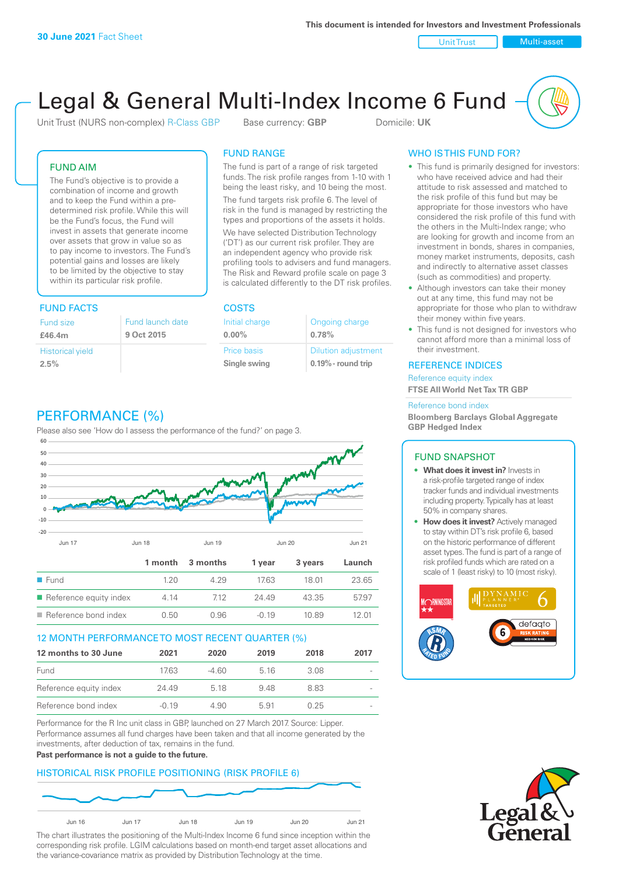Unit Trust Nulti-asset

# Legal & General Multi-Index Income 6 Fund

Unit Trust (NURS non-complex) R-Class GBP Base currency: **GBP** Domicile: UK

## FUND AIM

The Fund's objective is to provide a combination of income and growth and to keep the Fund within a predetermined risk profile. While this will be the Fund's focus, the Fund will invest in assets that generate income over assets that grow in value so as to pay income to investors. The Fund's potential gains and losses are likely to be limited by the objective to stay within its particular risk profile.

## FUND FACTS COSTS

| Fund size                       | Fund launch date |
|---------------------------------|------------------|
| £46.4m                          | 9 Oct 2015       |
| <b>Historical yield</b><br>2.5% |                  |

## FUND RANGE

The fund is part of a range of risk targeted funds. The risk profile ranges from 1-10 with 1 being the least risky, and 10 being the most.

The fund targets risk profile 6. The level of risk in the fund is managed by restricting the types and proportions of the assets it holds. We have selected Distribution Technology ('DT') as our current risk profiler. They are an independent agency who provide risk profiling tools to advisers and fund managers. The Risk and Reward profile scale on page 3 is calculated differently to the DT risk profiles.

**0.00%**

| Initial charge     | Ongoing charge             |
|--------------------|----------------------------|
| $0.00\%$           | 0.78%                      |
| <b>Price basis</b> | <b>Dilution adjustment</b> |
| Single swing       | $0.19\%$ - round trip      |

## WHO IS THIS FUND FOR?

- This fund is primarily designed for investors: who have received advice and had their attitude to risk assessed and matched to the risk profile of this fund but may be appropriate for those investors who have considered the risk profile of this fund with the others in the Multi-Index range; who are looking for growth and income from an investment in bonds, shares in companies, money market instruments, deposits, cash and indirectly to alternative asset classes (such as commodities) and property.
- Although investors can take their money out at any time, this fund may not be appropriate for those who plan to withdraw their money within five years.
- This fund is not designed for investors who cannot afford more than a minimal loss of their investment.

## REFERENCE INDICES

Reference equity index **FTSE All World Net Tax TR GBP**

#### Reference bond index

**Bloomberg Barclays Global Aggregate GBP Hedged Index**

## FUND SNAPSHOT

- **• What does it invest in?** Invests in a risk-profile targeted range of index tracker funds and individual investments including property. Typically has at least 50% in company shares.
- **• How does it invest?** Actively managed to stay within DT's risk profile 6, based on the historic performance of different asset types. The fund is part of a range of risk profiled funds which are rated on a scale of 1 (least risky) to 10 (most risky).





## PERFORMANCE (%)

Please also see 'How do I assess the performance of the fund?' on page 3.



### 12 MONTH PERFORMANCE TO MOST RECENT QUARTER (%)

| 12 months to 30 June   | 2021    | 2020  | 2019 | 2018 | 2017                     |
|------------------------|---------|-------|------|------|--------------------------|
| Fund                   | 1763    | -4.60 | 516  | 3.08 | $\sim$                   |
| Reference equity index | 24.49   | 5 18  | 948  | 883  | $\overline{\phantom{a}}$ |
| Reference bond index   | $-0.19$ | 4.90  | 5.91 | 0.25 | $\sim$                   |

Performance for the R Inc unit class in GBP, launched on 27 March 2017. Source: Lipper. Performance assumes all fund charges have been taken and that all income generated by the investments, after deduction of tax, remains in the fund.

#### **Past performance is not a guide to the future.**

## HISTORICAL RISK PROFILE POSITIONING (RISK PROFILE 6)



The chart illustrates the positioning of the Multi-Index Income 6 fund since inception within the corresponding risk profile. LGIM calculations based on month-end target asset allocations and the variance-covariance matrix as provided by Distribution Technology at the time.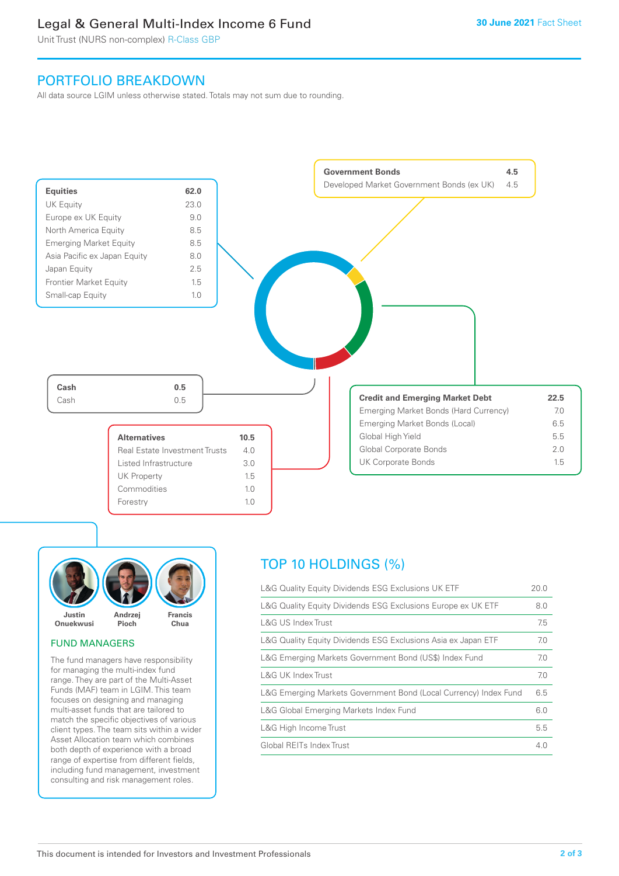## Legal & General Multi-Index Income 6 Fund

Unit Trust (NURS non-complex) R-Class GBP

## PORTFOLIO BREAKDOWN

All data source LGIM unless otherwise stated. Totals may not sum due to rounding.





### FUND MANAGERS

The fund managers have responsibility for managing the multi-index fund range. They are part of the Multi-Asset Funds (MAF) team in LGIM. This team focuses on designing and managing multi-asset funds that are tailored to match the specific objectives of various client types. The team sits within a wider Asset Allocation team which combines both depth of experience with a broad range of expertise from different fields, including fund management, investment consulting and risk management roles.

## TOP 10 HOLDINGS (%)

| L&G Quality Equity Dividends ESG Exclusions UK ETF               | 20.0 |
|------------------------------------------------------------------|------|
| L&G Quality Equity Dividends ESG Exclusions Europe ex UK ETF     | 8.0  |
| L&G US Index Trust                                               | 7.5  |
| L&G Quality Equity Dividends ESG Exclusions Asia ex Japan ETF    | 7.0  |
| L&G Emerging Markets Government Bond (US\$) Index Fund           | 7.0  |
| L&G UK Index Trust                                               | 7.0  |
| L&G Emerging Markets Government Bond (Local Currency) Index Fund | 6.5  |
| L&G Global Emerging Markets Index Fund                           | 6.0  |
| L&G High Income Trust                                            | 5.5  |
| Global REITs Index Trust                                         | 4 N  |